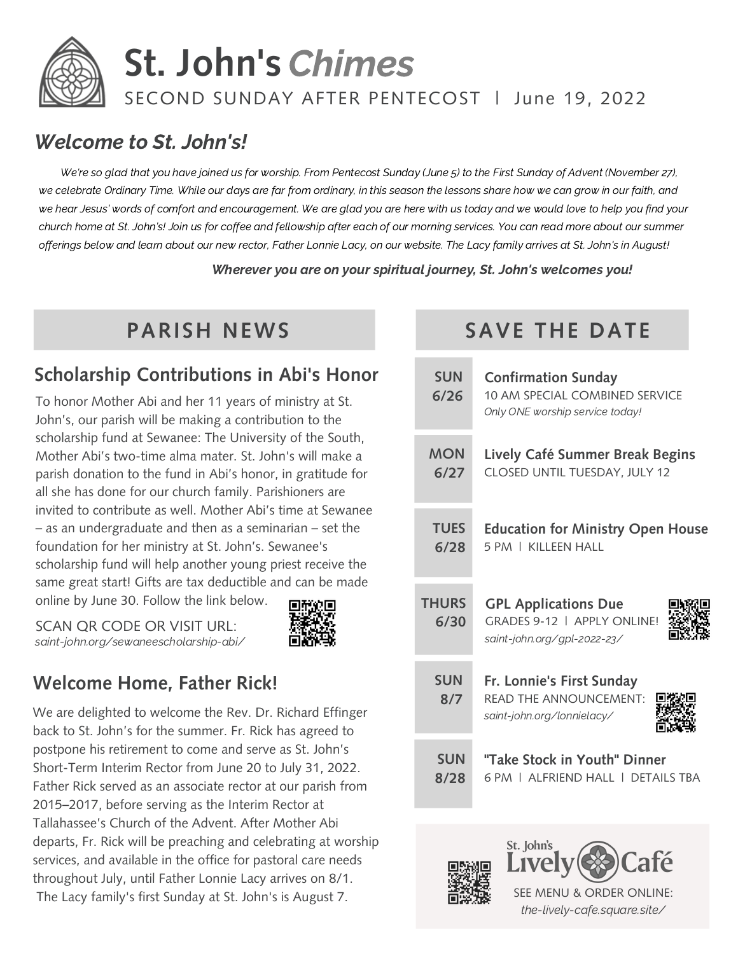

# **St. John's** Chimes

#### SECOND SUNDAY AFTER PENTECOST | June 19, 2022

#### Welcome to St. John's!

We're so glad that you have joined us for worship. From Pentecost Sunday (June 5) to the First Sunday of Advent (November 27), we celebrate Ordinary Time. While our days are far from ordinary, in this season the lessons share how we can grow in our faith, and we hear Jesus' words of comfort and encouragement. We are glad you are here with us today and we would love to help you find your church home at St. John's! Join us for coffee and fellowship after each of our morning services. You can read more about our summer offerings below and learn about our new rector, Father Lonnie Lacy, on our website. The Lacy family arrives at St. John's in August!

Wherever you are on your spiritual journey, St. John's welcomes you!

#### **Scholarship Contributions in Abi's Honor**

To honor Mother Abi and her 11 years of ministry at St. John's, our parish will be making a contribution to the scholarship fund at Sewanee: The University of the South, Mother Abi's two-time alma mater. St. John's will make a parish donation to the fund in Abi's honor, in gratitude for all she has done for our church family. Parishioners are invited to contribute as well. Mother Abi's time at Sewanee – as an undergraduate and then as a seminarian – set the foundation for her ministry at St. John's. Sewanee's scholarship fund will help another young priest receive the same great start! Gifts are tax deductible and can be made online by June 30. Follow the link below.

SCAN QR CODE OR VISIT URL: saint-john.org/sewaneescholarship-abi/



## **Welcome Home, Father Rick!**

We are delighted to welcome the Rev. Dr. Richard Effinger back to St. John's for the summer. Fr. Rick has agreed to postpone his retirement to come and serve as St. John's Short-Term Interim Rector from June 20 to July 31, 2022. Father Rick served as an associate rector at our parish from 2015–2017, before serving as the Interim Rector at Tallahassee's Church of the Advent. After Mother Abi departs, Fr. Rick will be preaching and celebrating at worship services, and available in the office for pastoral care needs throughout July, until Father Lonnie Lacy arrives on 8/1. The Lacy family's first Sunday at St. John's is August 7.

## **PARISH NEWS SAVE THE DATE**

| <b>SUN</b><br>6/26   | <b>Confirmation Sunday</b><br>10 AM SPECIAL COMBINED SERVICE<br>Only ONE worship service today! |
|----------------------|-------------------------------------------------------------------------------------------------|
| <b>MON</b>           | Lively Café Summer Break Begins                                                                 |
| 6/27                 | CLOSED UNTIL TUESDAY, JULY 12                                                                   |
| <b>TUES</b>          | <b>Education for Ministry Open House</b>                                                        |
| 6/28                 | 5 PM L KILLEEN HALL                                                                             |
| <b>THURS</b><br>6/30 | <b>GPL Applications Due</b><br>GRADES 9-12   APPI Y ONI INFI<br>saint-john.org/gpl-2022-23/     |
| <b>SUN</b><br>8/7    | Fr. Lonnie's First Sunday<br>READ THE ANNOUNCEMENT:<br>saint-john.org/lonnielacy/               |
| <b>SUN</b>           | "Take Stock in Youth" Dinner                                                                    |
| 8/28                 | 6 PM   ALERIEND HALL   DETAILS TRA                                                              |





SEE MENU & ORDER ONLINE: the-lively-cafe.square.site/